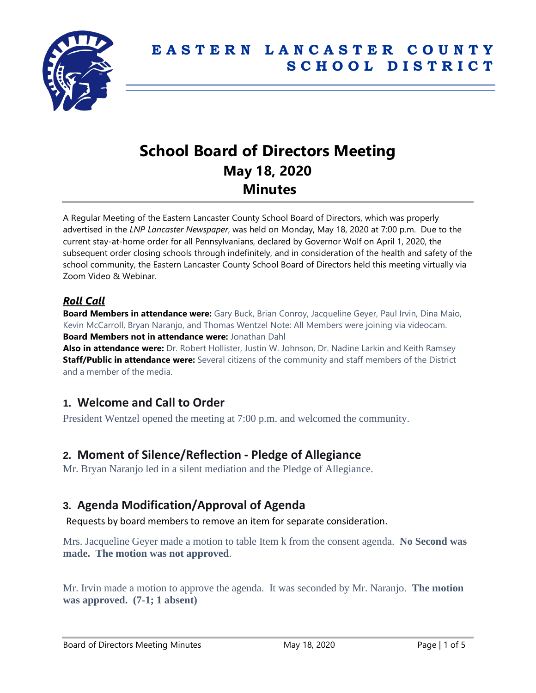

# **School Board of Directors Meeting May 18, 2020 Minutes**

A Regular Meeting of the Eastern Lancaster County School Board of Directors, which was properly advertised in the *LNP Lancaster Newspaper*, was held on Monday, May 18, 2020 at 7:00 p.m. Due to the current stay-at-home order for all Pennsylvanians, declared by Governor Wolf on April 1, 2020, the subsequent order closing schools through indefinitely, and in consideration of the health and safety of the school community, the Eastern Lancaster County School Board of Directors held this meeting virtually via Zoom Video & Webinar.

## *Roll Call*

**Board Members in attendance were:** Gary Buck, Brian Conroy, Jacqueline Geyer, Paul Irvin, Dina Maio, Kevin McCarroll, Bryan Naranjo, and Thomas Wentzel Note: All Members were joining via videocam. **Board Members not in attendance were:** Jonathan Dahl

**Also in attendance were:** Dr. Robert Hollister, Justin W. Johnson, Dr. Nadine Larkin and Keith Ramsey **Staff/Public in attendance were:** Several citizens of the community and staff members of the District and a member of the media.

## **1. Welcome and Call to Order**

President Wentzel opened the meeting at 7:00 p.m. and welcomed the community.

## **2. Moment of Silence/Reflection - Pledge of Allegiance**

Mr. Bryan Naranjo led in a silent mediation and the Pledge of Allegiance.

## **3. Agenda Modification/Approval of Agenda**

Requests by board members to remove an item for separate consideration.

Mrs. Jacqueline Geyer made a motion to table Item k from the consent agenda. **No Second was made. The motion was not approved**.

Mr. Irvin made a motion to approve the agenda. It was seconded by Mr. Naranjo. **The motion was approved. (7-1; 1 absent)**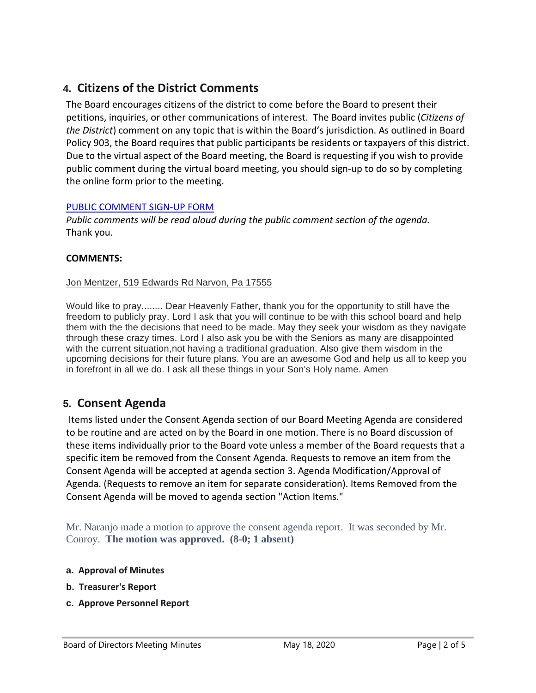## **4. Citizens of the District Comments**

The Board encourages citizens of the district to come before the Board to present their petitions, inquiries, or other communications of interest. The Board invites public (*Citizens of the District*) comment on any topic that is within the Board's jurisdiction. As outlined in Board Policy 903, the Board requires that public participants be residents or taxpayers of this district. Due to the virtual aspect of the Board meeting, the Board is requesting if you wish to provide public comment during the virtual board meeting, you should sign-up to do so by completing the online form prior to the meeting.

#### [PUBLIC COMMENT SIGN-UP FORM](https://forms.gle/zDXXoX8rZQUxt1Ap6)

*Public comments will be read aloud during the public comment section of the agenda.* Thank you.

#### **COMMENTS:**

#### Jon Mentzer, 519 Edwards Rd Narvon, Pa 17555

Would like to pray........ Dear Heavenly Father, thank you for the opportunity to still have the freedom to publicly pray. Lord I ask that you will continue to be with this school board and help them with the the decisions that need to be made. May they seek your wisdom as they navigate through these crazy times. Lord I also ask you be with the Seniors as many are disappointed with the current situation,not having a traditional graduation. Also give them wisdom in the upcoming decisions for their future plans. You are an awesome God and help us all to keep you in forefront in all we do. I ask all these things in your Son's Holy name. Amen

## **5. Consent Agenda**

Items listed under the Consent Agenda section of our Board Meeting Agenda are considered to be routine and are acted on by the Board in one motion. There is no Board discussion of these items individually prior to the Board vote unless a member of the Board requests that a specific item be removed from the Consent Agenda. Requests to remove an item from the Consent Agenda will be accepted at agenda section 3. Agenda Modification/Approval of Agenda. (Requests to remove an item for separate consideration). Items Removed from the Consent Agenda will be moved to agenda section "Action Items."

Mr. Naranjo made a motion to approve the consent agenda report. It was seconded by Mr. Conroy. **The motion was approved. (8-0; 1 absent)**

- **a. Approval of Minutes**
- **b. Treasurer's Report**
- **c. Approve Personnel Report**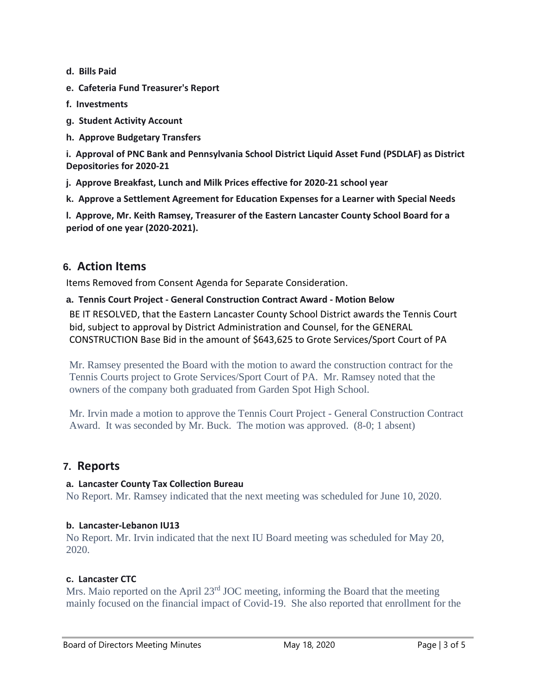- **d. Bills Paid**
- **e. Cafeteria Fund Treasurer's Report**
- **f. Investments**
- **g. Student Activity Account**
- **h. Approve Budgetary Transfers**

**i. Approval of PNC Bank and Pennsylvania School District Liquid Asset Fund (PSDLAF) as District Depositories for 2020-21**

- **j. Approve Breakfast, Lunch and Milk Prices effective for 2020-21 school year**
- **k. Approve a Settlement Agreement for Education Expenses for a Learner with Special Needs**

**l. Approve, Mr. Keith Ramsey, Treasurer of the Eastern Lancaster County School Board for a period of one year (2020-2021).**

## **6. Action Items**

Items Removed from Consent Agenda for Separate Consideration.

#### **a. Tennis Court Project - General Construction Contract Award - Motion Below**

BE IT RESOLVED, that the Eastern Lancaster County School District awards the Tennis Court bid, subject to approval by District Administration and Counsel, for the GENERAL CONSTRUCTION Base Bid in the amount of \$643,625 to Grote Services/Sport Court of PA

Mr. Ramsey presented the Board with the motion to award the construction contract for the Tennis Courts project to Grote Services/Sport Court of PA. Mr. Ramsey noted that the owners of the company both graduated from Garden Spot High School.

Mr. Irvin made a motion to approve the Tennis Court Project - General Construction Contract Award. It was seconded by Mr. Buck. The motion was approved. (8-0; 1 absent)

### **7. Reports**

#### **a. Lancaster County Tax Collection Bureau**

No Report. Mr. Ramsey indicated that the next meeting was scheduled for June 10, 2020.

#### **b. Lancaster-Lebanon IU13**

No Report. Mr. Irvin indicated that the next IU Board meeting was scheduled for May 20, 2020.

#### **c. Lancaster CTC**

Mrs. Maio reported on the April 23<sup>rd</sup> JOC meeting, informing the Board that the meeting mainly focused on the financial impact of Covid-19. She also reported that enrollment for the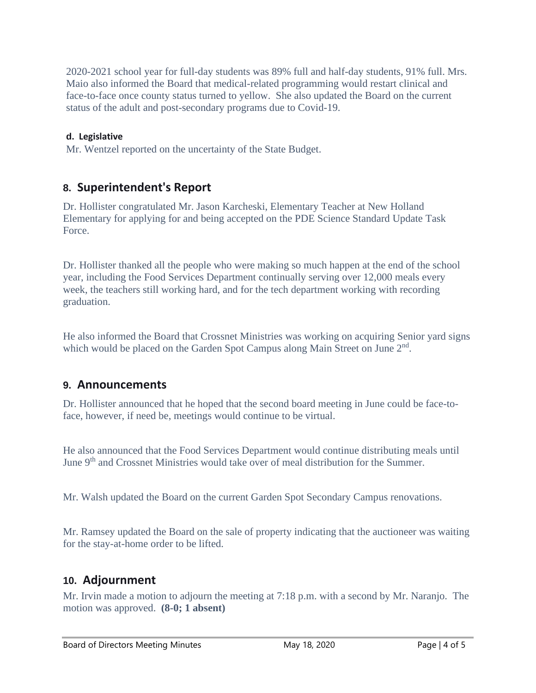2020-2021 school year for full-day students was 89% full and half-day students, 91% full. Mrs. Maio also informed the Board that medical-related programming would restart clinical and face-to-face once county status turned to yellow. She also updated the Board on the current status of the adult and post-secondary programs due to Covid-19.

#### **d. Legislative**

Mr. Wentzel reported on the uncertainty of the State Budget.

## **8. Superintendent's Report**

Dr. Hollister congratulated Mr. Jason Karcheski, Elementary Teacher at New Holland Elementary for applying for and being accepted on the PDE Science Standard Update Task Force.

Dr. Hollister thanked all the people who were making so much happen at the end of the school year, including the Food Services Department continually serving over 12,000 meals every week, the teachers still working hard, and for the tech department working with recording graduation.

He also informed the Board that Crossnet Ministries was working on acquiring Senior yard signs which would be placed on the Garden Spot Campus along Main Street on June 2<sup>nd</sup>.

### **9. Announcements**

Dr. Hollister announced that he hoped that the second board meeting in June could be face-toface, however, if need be, meetings would continue to be virtual.

He also announced that the Food Services Department would continue distributing meals until June 9<sup>th</sup> and Crossnet Ministries would take over of meal distribution for the Summer.

Mr. Walsh updated the Board on the current Garden Spot Secondary Campus renovations.

Mr. Ramsey updated the Board on the sale of property indicating that the auctioneer was waiting for the stay-at-home order to be lifted.

### **10. Adjournment**

Mr. Irvin made a motion to adjourn the meeting at 7:18 p.m. with a second by Mr. Naranjo. The motion was approved. **(8-0; 1 absent)**